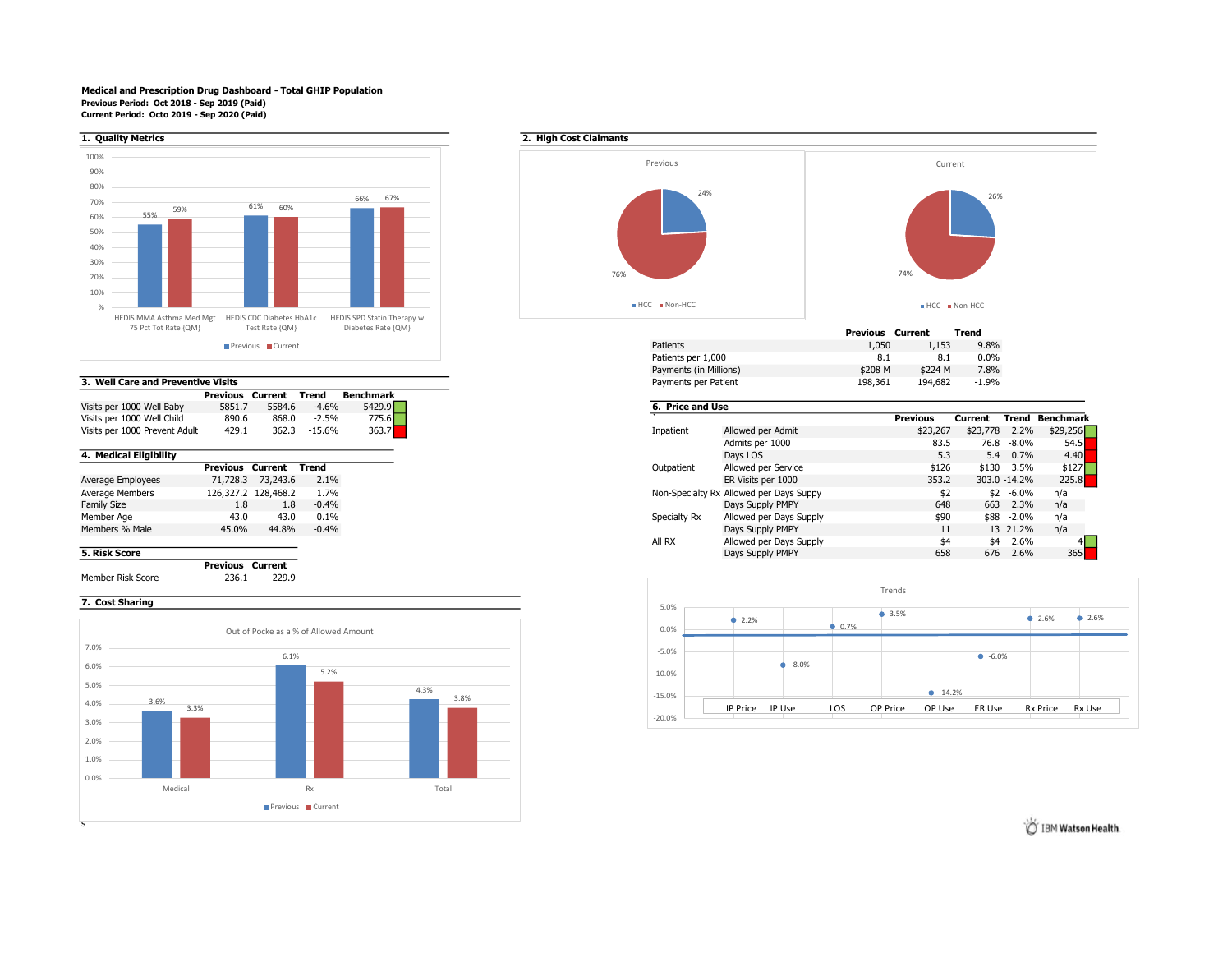## Medical and Prescription Drug Dashboard - Total GHIP Population Previous Period: Oct 2018 - Sep 2019 (Paid) Current Period: Octo 2019 - Sep 2020 (Paid)



|  |  | 3. Well Care and Preventive Visits |  |
|--|--|------------------------------------|--|

|                               | Previous | Current | Trend    | Benchmark |
|-------------------------------|----------|---------|----------|-----------|
| Visits per 1000 Well Baby     | 5851.7   | 5584.6  | $-4.6%$  | 5429.9    |
| Visits per 1000 Well Child    | 890.6    | 868.0   | $-2.5%$  | 775.6     |
| Visits per 1000 Prevent Adult | 429.1    | 362.3   | $-15.6%$ | 363.7     |

|                    | <b>Previous Current</b> |                     | Trend   |
|--------------------|-------------------------|---------------------|---------|
| Average Employees  | 71,728.3                | 73,243.6            | 2.1%    |
| Average Members    |                         | 126,327.2 128,468.2 | 1.7%    |
| <b>Family Size</b> | 1.8                     | 1.8                 | $-0.4%$ |
| Member Age         | 43.0                    | 43.0                | 0.1%    |
| Members % Male     | 45.0%                   | 44.8%               | $-0.4%$ |
|                    |                         |                     |         |

Previous Current Member Risk Score 236.1 229.9

## 7. Cost Sharing





| 75 PCT TOT Rate {QIVI}                                  | Test Rate {QM} | Diabetes Rate {QM} | Current<br>Previous |
|---------------------------------------------------------|----------------|--------------------|---------------------|
| Previous Current                                        |                |                    | 1,050               |
|                                                         |                |                    | 8.1                 |
|                                                         |                |                    | \$224 M<br>\$208 M  |
| Well Care and Preventive Visits<br>Payments per Patient |                |                    | 198,361<br>194,682  |
|                                                         |                |                    |                     |

| Visits per 1000 Well Baby              | 5851.7 | 5584.6   | $-4.6%$         | 5429.9 |  | 6. Price and Use |                                         |          |          |              |           |
|----------------------------------------|--------|----------|-----------------|--------|--|------------------|-----------------------------------------|----------|----------|--------------|-----------|
| 890.6                                  |        | 868.0    | $-2.5%$         | 775.6  |  |                  |                                         | Previous | Current  | Trend        | Benchmark |
| 429.1<br>Visits per 1000 Prevent Adult |        | 362.3    | $-15.6%$        | 363.7  |  | Inpatient        | Allowed per Admit                       | \$23,267 | \$23,778 | 2.2%         | \$29,256  |
|                                        |        |          | Admits per 1000 | 83.5   |  | 76.8 -8.0%       |                                         |          |          |              |           |
|                                        |        |          |                 |        |  |                  | Days LOS                                | 5.3      |          | 5.4 0.7%     | 4.40      |
| Previous                               |        | Current  | Trend           |        |  | Outpatient       | Allowed per Service                     | \$126    |          | \$130 3.5%   |           |
| 71,728.3                               |        | 73,243.6 | 2.1%            |        |  |                  | ER Visits per 1000                      | 353.2    |          | 303.0 -14.2% | 225.8     |
| 126,327.2 128,468.2                    |        |          | 1.7%            |        |  |                  | Non-Specialty Rx Allowed per Days Suppy | \$2      |          | $$2 - 6.0\%$ | n/a       |
| 1.8<br>1.8                             |        |          | $-0.4\%$        |        |  |                  | Days Supply PMPY                        | 648      | 663      | 2.3%         | n/a       |
| 43.0                                   |        | 43.0     | 0.1%            |        |  | Specialty Rx     | Allowed per Days Supply                 | \$90     |          | \$88 -2.0%   | n/a       |
| 45.0%                                  |        | 44.8%    | $-0.4%$         |        |  |                  | Days Supply PMPY                        |          |          | 13 21.2%     | n/a       |
|                                        |        |          |                 |        |  | All RX           | Allowed per Days Supply                 | \$4      |          | \$4 2.6%     |           |
|                                        |        |          |                 |        |  |                  | Days Supply PMPY                        | 658      | 676      | 2.6%         |           |
| _______                                |        |          |                 |        |  |                  |                                         |          |          |              |           |



IBM Watson Health.